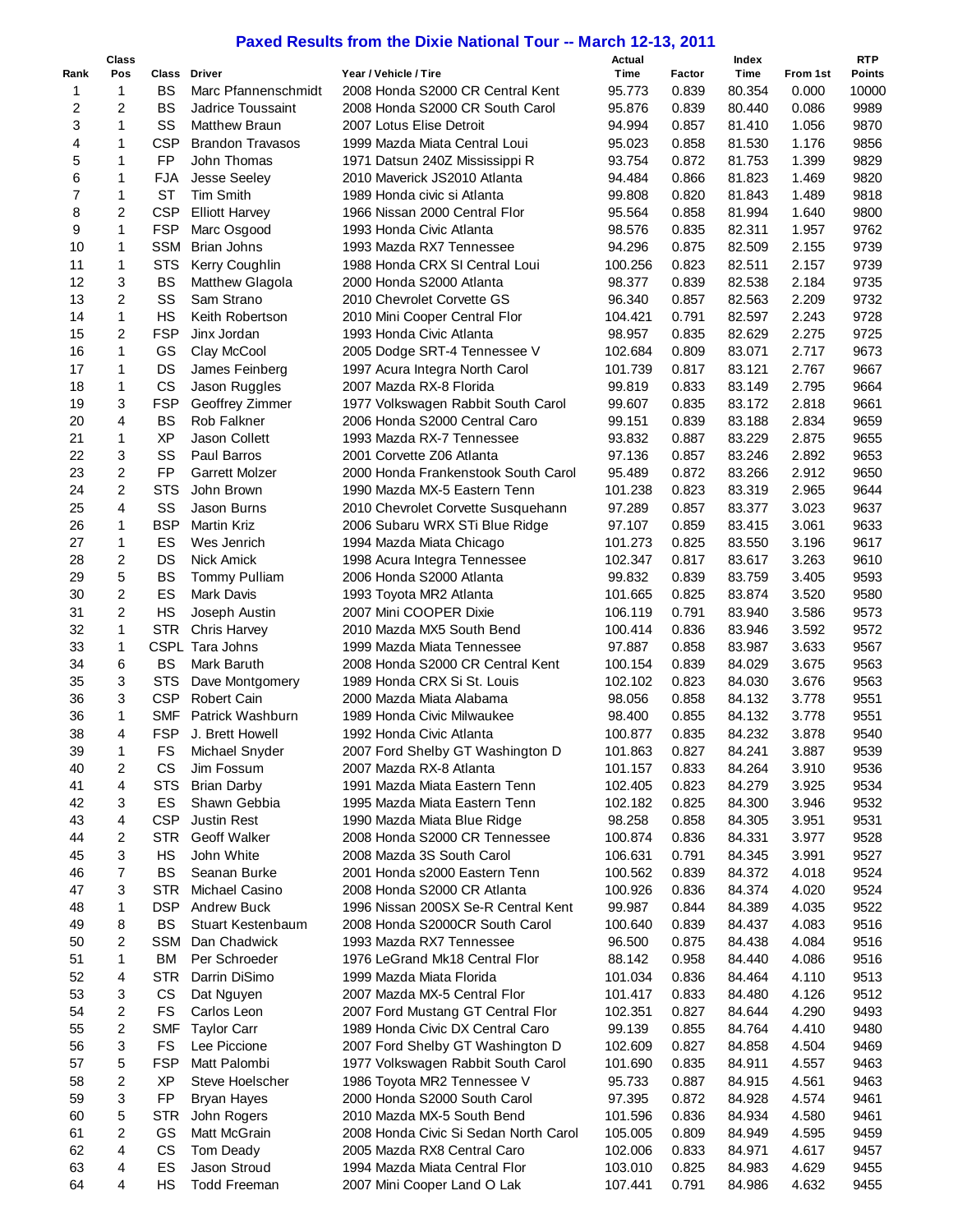## **Paxed Results from the Dixie National Tour -- March 12-13, 2011**

|      | <b>Class</b>   |            |                         |                                       | Actual  |        | Index  |          | <b>RTP</b> |
|------|----------------|------------|-------------------------|---------------------------------------|---------|--------|--------|----------|------------|
| Rank | Pos            | Class      | <b>Driver</b>           | Year / Vehicle / Tire                 | Time    | Factor | Time   | From 1st | Points     |
| 1    | $\mathbf{1}$   | <b>BS</b>  | Marc Pfannenschmidt     | 2008 Honda S2000 CR Central Kent      | 95.773  | 0.839  | 80.354 | 0.000    | 10000      |
| 2    | $\overline{2}$ | <b>BS</b>  | Jadrice Toussaint       | 2008 Honda S2000 CR South Carol       | 95.876  | 0.839  | 80.440 | 0.086    | 9989       |
|      | 1              | SS         |                         |                                       |         |        |        |          |            |
| 3    |                |            | <b>Matthew Braun</b>    | 2007 Lotus Elise Detroit              | 94.994  | 0.857  | 81.410 | 1.056    | 9870       |
| 4    | 1              | <b>CSP</b> | <b>Brandon Travasos</b> | 1999 Mazda Miata Central Loui         | 95.023  | 0.858  | 81.530 | 1.176    | 9856       |
| 5    | 1              | FP         | John Thomas             | 1971 Datsun 240Z Mississippi R        | 93.754  | 0.872  | 81.753 | 1.399    | 9829       |
| 6    | 1              | <b>FJA</b> | Jesse Seeley            | 2010 Maverick JS2010 Atlanta          | 94.484  | 0.866  | 81.823 | 1.469    | 9820       |
| 7    | $\mathbf{1}$   | <b>ST</b>  | <b>Tim Smith</b>        | 1989 Honda civic si Atlanta           | 99.808  | 0.820  | 81.843 | 1.489    | 9818       |
| 8    | $\overline{c}$ | <b>CSP</b> | <b>Elliott Harvey</b>   | 1966 Nissan 2000 Central Flor         | 95.564  | 0.858  | 81.994 | 1.640    | 9800       |
| 9    | $\mathbf{1}$   | <b>FSP</b> | Marc Osgood             | 1993 Honda Civic Atlanta              | 98.576  | 0.835  | 82.311 | 1.957    | 9762       |
| 10   | $\mathbf{1}$   | <b>SSM</b> | <b>Brian Johns</b>      | 1993 Mazda RX7 Tennessee              | 94.296  | 0.875  | 82.509 | 2.155    | 9739       |
| 11   | 1              | <b>STS</b> | Kerry Coughlin          | 1988 Honda CRX SI Central Loui        | 100.256 | 0.823  | 82.511 | 2.157    | 9739       |
| 12   | 3              | <b>BS</b>  | Matthew Glagola         | 2000 Honda S2000 Atlanta              | 98.377  | 0.839  | 82.538 | 2.184    | 9735       |
| 13   | $\overline{c}$ | SS         | Sam Strano              | 2010 Chevrolet Corvette GS            | 96.340  | 0.857  | 82.563 | 2.209    | 9732       |
| 14   | $\mathbf 1$    | <b>HS</b>  | Keith Robertson         | 2010 Mini Cooper Central Flor         | 104.421 | 0.791  | 82.597 | 2.243    | 9728       |
| 15   | $\overline{2}$ | <b>FSP</b> | Jinx Jordan             | 1993 Honda Civic Atlanta              | 98.957  | 0.835  | 82.629 | 2.275    | 9725       |
|      |                |            |                         |                                       |         |        |        | 2.717    |            |
| 16   | $\mathbf{1}$   | GS         | Clay McCool             | 2005 Dodge SRT-4 Tennessee V          | 102.684 | 0.809  | 83.071 |          | 9673       |
| 17   | $\mathbf{1}$   | DS         | James Feinberg          | 1997 Acura Integra North Carol        | 101.739 | 0.817  | 83.121 | 2.767    | 9667       |
| 18   | 1              | CS         | Jason Ruggles           | 2007 Mazda RX-8 Florida               | 99.819  | 0.833  | 83.149 | 2.795    | 9664       |
| 19   | 3              | <b>FSP</b> | Geoffrey Zimmer         | 1977 Volkswagen Rabbit South Carol    | 99.607  | 0.835  | 83.172 | 2.818    | 9661       |
| 20   | 4              | <b>BS</b>  | Rob Falkner             | 2006 Honda S2000 Central Caro         | 99.151  | 0.839  | 83.188 | 2.834    | 9659       |
| 21   | $\mathbf{1}$   | <b>XP</b>  | Jason Collett           | 1993 Mazda RX-7 Tennessee             | 93.832  | 0.887  | 83.229 | 2.875    | 9655       |
| 22   | 3              | SS         | Paul Barros             | 2001 Corvette Z06 Atlanta             | 97.136  | 0.857  | 83.246 | 2.892    | 9653       |
| 23   | $\overline{c}$ | <b>FP</b>  | <b>Garrett Molzer</b>   | 2000 Honda Frankenstook South Carol   | 95.489  | 0.872  | 83.266 | 2.912    | 9650       |
| 24   | $\overline{2}$ | <b>STS</b> | John Brown              | 1990 Mazda MX-5 Eastern Tenn          | 101.238 | 0.823  | 83.319 | 2.965    | 9644       |
| 25   | 4              | SS         | Jason Burns             | 2010 Chevrolet Corvette Susquehann    | 97.289  | 0.857  | 83.377 | 3.023    | 9637       |
| 26   | 1              | <b>BSP</b> | <b>Martin Kriz</b>      | 2006 Subaru WRX STi Blue Ridge        | 97.107  | 0.859  | 83.415 | 3.061    | 9633       |
| 27   | $\mathbf 1$    | ES         | Wes Jenrich             | 1994 Mazda Miata Chicago              | 101.273 | 0.825  | 83.550 | 3.196    | 9617       |
| 28   | $\overline{c}$ | <b>DS</b>  | <b>Nick Amick</b>       |                                       | 102.347 | 0.817  | 83.617 | 3.263    | 9610       |
|      | 5              |            |                         | 1998 Acura Integra Tennessee          |         |        |        |          |            |
| 29   |                | <b>BS</b>  | <b>Tommy Pulliam</b>    | 2006 Honda S2000 Atlanta              | 99.832  | 0.839  | 83.759 | 3.405    | 9593       |
| 30   | $\overline{c}$ | ES         | Mark Davis              | 1993 Toyota MR2 Atlanta               | 101.665 | 0.825  | 83.874 | 3.520    | 9580       |
| 31   | $\overline{2}$ | HS         | Joseph Austin           | 2007 Mini COOPER Dixie                | 106.119 | 0.791  | 83.940 | 3.586    | 9573       |
| 32   | 1              | <b>STR</b> | <b>Chris Harvey</b>     | 2010 Mazda MX5 South Bend             | 100.414 | 0.836  | 83.946 | 3.592    | 9572       |
| 33   | 1              |            | CSPL Tara Johns         | 1999 Mazda Miata Tennessee            | 97.887  | 0.858  | 83.987 | 3.633    | 9567       |
| 34   | 6              | <b>BS</b>  | Mark Baruth             | 2008 Honda S2000 CR Central Kent      | 100.154 | 0.839  | 84.029 | 3.675    | 9563       |
| 35   | 3              | <b>STS</b> | Dave Montgomery         | 1989 Honda CRX Si St. Louis           | 102.102 | 0.823  | 84.030 | 3.676    | 9563       |
| 36   | 3              | <b>CSP</b> | <b>Robert Cain</b>      | 2000 Mazda Miata Alabama              | 98.056  | 0.858  | 84.132 | 3.778    | 9551       |
| 36   | $\mathbf{1}$   | <b>SMF</b> | Patrick Washburn        | 1989 Honda Civic Milwaukee            | 98.400  | 0.855  | 84.132 | 3.778    | 9551       |
| 38   | 4              | <b>FSP</b> | J. Brett Howell         | 1992 Honda Civic Atlanta              | 100.877 | 0.835  | 84.232 | 3.878    | 9540       |
| 39   | 1              | FS         | Michael Snyder          | 2007 Ford Shelby GT Washington D      | 101.863 | 0.827  | 84.241 | 3.887    | 9539       |
| 40   | 2              | CS         | Jim Fossum              | 2007 Mazda RX-8 Atlanta               | 101.157 | 0.833  | 84.264 | 3.910    | 9536       |
| 41   | 4              | <b>STS</b> | <b>Brian Darby</b>      | 1991 Mazda Miata Eastern Tenn         | 102.405 | 0.823  | 84.279 | 3.925    | 9534       |
| 42   | 3              | ES         | Shawn Gebbia            | 1995 Mazda Miata Eastern Tenn         | 102.182 | 0.825  | 84.300 | 3.946    | 9532       |
| 43   | 4              | <b>CSP</b> |                         |                                       |         | 0.858  |        |          |            |
|      |                |            | <b>Justin Rest</b>      | 1990 Mazda Miata Blue Ridge           | 98.258  |        | 84.305 | 3.951    | 9531       |
| 44   | $\overline{2}$ | <b>STR</b> | <b>Geoff Walker</b>     | 2008 Honda S2000 CR Tennessee         | 100.874 | 0.836  | 84.331 | 3.977    | 9528       |
| 45   | 3              | HS         | John White              | 2008 Mazda 3S South Carol             | 106.631 | 0.791  | 84.345 | 3.991    | 9527       |
| 46   | $\overline{7}$ | <b>BS</b>  | Seanan Burke            | 2001 Honda s2000 Eastern Tenn         | 100.562 | 0.839  | 84.372 | 4.018    | 9524       |
| 47   | 3              | STR        | Michael Casino          | 2008 Honda S2000 CR Atlanta           | 100.926 | 0.836  | 84.374 | 4.020    | 9524       |
| 48   | 1              | DSP        | <b>Andrew Buck</b>      | 1996 Nissan 200SX Se-R Central Kent   | 99.987  | 0.844  | 84.389 | 4.035    | 9522       |
| 49   | 8              | <b>BS</b>  | Stuart Kestenbaum       | 2008 Honda S2000CR South Carol        | 100.640 | 0.839  | 84.437 | 4.083    | 9516       |
| 50   | 2              | <b>SSM</b> | Dan Chadwick            | 1993 Mazda RX7 Tennessee              | 96.500  | 0.875  | 84.438 | 4.084    | 9516       |
| 51   | 1              | BM         | Per Schroeder           | 1976 LeGrand Mk18 Central Flor        | 88.142  | 0.958  | 84.440 | 4.086    | 9516       |
| 52   | 4              | <b>STR</b> | Darrin DiSimo           | 1999 Mazda Miata Florida              | 101.034 | 0.836  | 84.464 | 4.110    | 9513       |
| 53   | 3              | CS         | Dat Nguyen              | 2007 Mazda MX-5 Central Flor          | 101.417 | 0.833  | 84.480 | 4.126    | 9512       |
| 54   | 2              | FS         | Carlos Leon             | 2007 Ford Mustang GT Central Flor     | 102.351 | 0.827  | 84.644 | 4.290    | 9493       |
| 55   | 2              | <b>SMF</b> | <b>Taylor Carr</b>      | 1989 Honda Civic DX Central Caro      | 99.139  | 0.855  | 84.764 | 4.410    | 9480       |
| 56   | 3              | FS         | Lee Piccione            | 2007 Ford Shelby GT Washington D      | 102.609 | 0.827  | 84.858 | 4.504    | 9469       |
| 57   | 5              | <b>FSP</b> | Matt Palombi            |                                       |         |        |        |          |            |
|      |                |            |                         | 1977 Volkswagen Rabbit South Carol    | 101.690 | 0.835  | 84.911 | 4.557    | 9463       |
| 58   | 2              | XP         | Steve Hoelscher         | 1986 Toyota MR2 Tennessee V           | 95.733  | 0.887  | 84.915 | 4.561    | 9463       |
| 59   | 3              | FP         | <b>Bryan Hayes</b>      | 2000 Honda S2000 South Carol          | 97.395  | 0.872  | 84.928 | 4.574    | 9461       |
| 60   | 5              | <b>STR</b> | John Rogers             | 2010 Mazda MX-5 South Bend            | 101.596 | 0.836  | 84.934 | 4.580    | 9461       |
| 61   | 2              | GS         | Matt McGrain            | 2008 Honda Civic Si Sedan North Carol | 105.005 | 0.809  | 84.949 | 4.595    | 9459       |
| 62   | 4              | CS         | Tom Deady               | 2005 Mazda RX8 Central Caro           | 102.006 | 0.833  | 84.971 | 4.617    | 9457       |
| 63   | 4              | ES         | Jason Stroud            | 1994 Mazda Miata Central Flor         | 103.010 | 0.825  | 84.983 | 4.629    | 9455       |
| 64   | 4              | HS         | <b>Todd Freeman</b>     | 2007 Mini Cooper Land O Lak           | 107.441 | 0.791  | 84.986 | 4.632    | 9455       |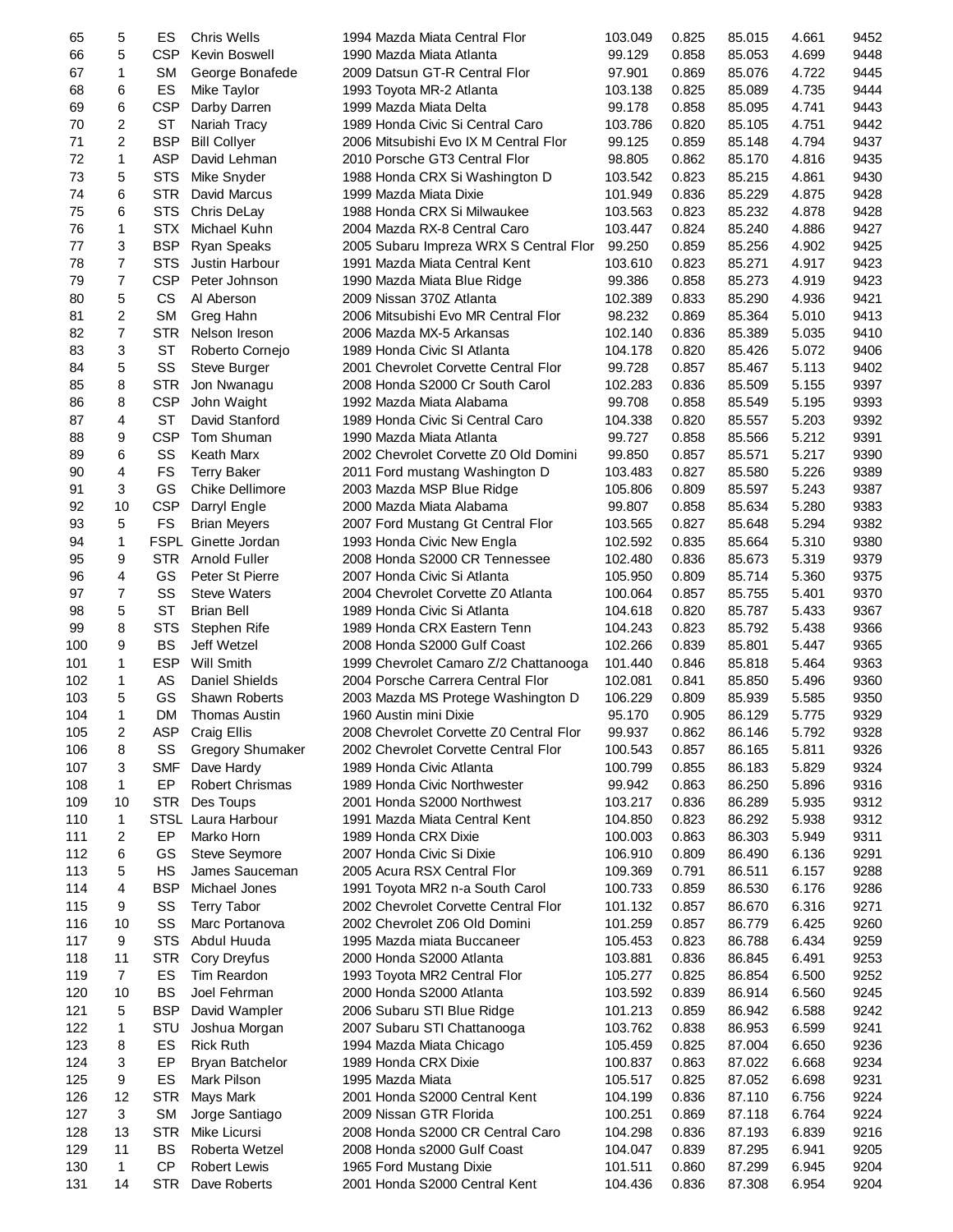| 65  | 5              | ES         | Chris Wells                         | 1994 Mazda Miata Central Flor                                   | 103.049 | 0.825 | 85.015 | 4.661 | 9452 |
|-----|----------------|------------|-------------------------------------|-----------------------------------------------------------------|---------|-------|--------|-------|------|
| 66  | 5              | <b>CSP</b> | Kevin Boswell                       | 1990 Mazda Miata Atlanta                                        | 99.129  | 0.858 | 85.053 | 4.699 | 9448 |
| 67  | $\mathbf{1}$   | <b>SM</b>  | George Bonafede                     | 2009 Datsun GT-R Central Flor                                   | 97.901  | 0.869 | 85.076 | 4.722 | 9445 |
| 68  | 6              | ES         | Mike Taylor                         | 1993 Toyota MR-2 Atlanta                                        | 103.138 | 0.825 | 85.089 | 4.735 | 9444 |
| 69  | 6              | <b>CSP</b> | Darby Darren                        | 1999 Mazda Miata Delta                                          | 99.178  | 0.858 | 85.095 | 4.741 | 9443 |
| 70  | 2              | <b>ST</b>  | Nariah Tracy                        | 1989 Honda Civic Si Central Caro                                | 103.786 | 0.820 | 85.105 | 4.751 | 9442 |
| 71  | 2              | <b>BSP</b> | <b>Bill Collyer</b>                 | 2006 Mitsubishi Evo IX M Central Flor                           | 99.125  | 0.859 | 85.148 | 4.794 | 9437 |
| 72  | $\mathbf{1}$   | <b>ASP</b> | David Lehman                        | 2010 Porsche GT3 Central Flor                                   | 98.805  | 0.862 | 85.170 | 4.816 | 9435 |
| 73  | 5              | <b>STS</b> | Mike Snyder                         | 1988 Honda CRX Si Washington D                                  | 103.542 | 0.823 | 85.215 | 4.861 | 9430 |
| 74  | 6              | <b>STR</b> | David Marcus                        | 1999 Mazda Miata Dixie                                          | 101.949 | 0.836 | 85.229 | 4.875 | 9428 |
| 75  | 6              | <b>STS</b> | Chris DeLay                         | 1988 Honda CRX Si Milwaukee                                     | 103.563 | 0.823 | 85.232 | 4.878 | 9428 |
| 76  | 1              | <b>STX</b> | Michael Kuhn                        | 2004 Mazda RX-8 Central Caro                                    | 103.447 | 0.824 | 85.240 | 4.886 | 9427 |
| 77  | 3              | <b>BSP</b> | Ryan Speaks                         | 2005 Subaru Impreza WRX S Central Flor                          | 99.250  | 0.859 | 85.256 | 4.902 | 9425 |
| 78  | 7              | <b>STS</b> | Justin Harbour                      | 1991 Mazda Miata Central Kent                                   | 103.610 | 0.823 | 85.271 | 4.917 | 9423 |
| 79  | 7              | <b>CSP</b> | Peter Johnson                       | 1990 Mazda Miata Blue Ridge                                     | 99.386  | 0.858 | 85.273 | 4.919 | 9423 |
| 80  | 5              | CS         | Al Aberson                          | 2009 Nissan 370Z Atlanta                                        | 102.389 | 0.833 | 85.290 | 4.936 | 9421 |
| 81  | 2              | <b>SM</b>  | Greg Hahn                           | 2006 Mitsubishi Evo MR Central Flor                             | 98.232  | 0.869 | 85.364 | 5.010 | 9413 |
| 82  | $\overline{7}$ | <b>STR</b> | Nelson Ireson                       | 2006 Mazda MX-5 Arkansas                                        | 102.140 | 0.836 | 85.389 | 5.035 | 9410 |
| 83  | 3              | <b>ST</b>  | Roberto Cornejo                     | 1989 Honda Civic SI Atlanta                                     | 104.178 | 0.820 | 85.426 | 5.072 | 9406 |
| 84  | 5              | SS         | Steve Burger                        | 2001 Chevrolet Corvette Central Flor                            | 99.728  | 0.857 | 85.467 | 5.113 | 9402 |
| 85  | 8              | <b>STR</b> | Jon Nwanagu                         | 2008 Honda S2000 Cr South Carol                                 | 102.283 | 0.836 | 85.509 | 5.155 | 9397 |
| 86  | 8              | <b>CSP</b> | John Waight                         | 1992 Mazda Miata Alabama                                        | 99.708  | 0.858 | 85.549 | 5.195 | 9393 |
| 87  | 4              | <b>ST</b>  | David Stanford                      | 1989 Honda Civic Si Central Caro                                | 104.338 | 0.820 | 85.557 | 5.203 | 9392 |
| 88  | 9              | <b>CSP</b> | Tom Shuman                          | 1990 Mazda Miata Atlanta                                        | 99.727  | 0.858 | 85.566 | 5.212 | 9391 |
| 89  | 6              | SS         | Keath Marx                          | 2002 Chevrolet Corvette Z0 Old Domini                           | 99.850  | 0.857 | 85.571 | 5.217 | 9390 |
| 90  | 4              | FS         | <b>Terry Baker</b>                  | 2011 Ford mustang Washington D                                  | 103.483 | 0.827 | 85.580 | 5.226 | 9389 |
| 91  | 3              | GS         | Chike Dellimore                     | 2003 Mazda MSP Blue Ridge                                       | 105.806 | 0.809 | 85.597 | 5.243 | 9387 |
| 92  | 10             | <b>CSP</b> |                                     | 2000 Mazda Miata Alabama                                        | 99.807  | 0.858 | 85.634 | 5.280 | 9383 |
| 93  | 5              | FS         | Darryl Engle<br><b>Brian Meyers</b> |                                                                 | 103.565 | 0.827 | 85.648 | 5.294 | 9382 |
| 94  | 1              |            | FSPL Ginette Jordan                 | 2007 Ford Mustang Gt Central Flor<br>1993 Honda Civic New Engla | 102.592 | 0.835 | 85.664 | 5.310 | 9380 |
| 95  | 9              | <b>STR</b> | Arnold Fuller                       | 2008 Honda S2000 CR Tennessee                                   | 102.480 | 0.836 | 85.673 | 5.319 | 9379 |
|     | 4              |            |                                     |                                                                 |         |       |        |       |      |
| 96  |                | GS         | Peter St Pierre                     | 2007 Honda Civic Si Atlanta                                     | 105.950 | 0.809 | 85.714 | 5.360 | 9375 |
| 97  | 7              | SS         | <b>Steve Waters</b>                 | 2004 Chevrolet Corvette Z0 Atlanta                              | 100.064 | 0.857 | 85.755 | 5.401 | 9370 |
| 98  | 5              | <b>ST</b>  | <b>Brian Bell</b>                   | 1989 Honda Civic Si Atlanta                                     | 104.618 | 0.820 | 85.787 | 5.433 | 9367 |
| 99  | 8              | <b>STS</b> | Stephen Rife                        | 1989 Honda CRX Eastern Tenn                                     | 104.243 | 0.823 | 85.792 | 5.438 | 9366 |
| 100 | 9              | <b>BS</b>  | Jeff Wetzel                         | 2008 Honda S2000 Gulf Coast                                     | 102.266 | 0.839 | 85.801 | 5.447 | 9365 |
| 101 | $\mathbf{1}$   | <b>ESP</b> | <b>Will Smith</b>                   | 1999 Chevrolet Camaro Z/2 Chattanooga                           | 101.440 | 0.846 | 85.818 | 5.464 | 9363 |
| 102 | $\mathbf{1}$   | AS         | Daniel Shields                      | 2004 Porsche Carrera Central Flor                               | 102.081 | 0.841 | 85.850 | 5.496 | 9360 |
| 103 | 5              | GS         | <b>Shawn Roberts</b>                | 2003 Mazda MS Protege Washington D                              | 106.229 | 0.809 | 85.939 | 5.585 | 9350 |
| 104 | 1              | DM.        | Thomas Austin                       | 1960 Austin mini Dixie                                          | 95.170  | 0.905 | 86.129 | 5.775 | 9329 |
| 105 | 2              | <b>ASP</b> | Craig Ellis                         | 2008 Chevrolet Corvette Z0 Central Flor                         | 99.937  | 0.862 | 86.146 | 5.792 | 9328 |
| 106 | 8              | SS         | <b>Gregory Shumaker</b>             | 2002 Chevrolet Corvette Central Flor                            | 100.543 | 0.857 | 86.165 | 5.811 | 9326 |
| 107 | 3              | <b>SMF</b> | Dave Hardy                          | 1989 Honda Civic Atlanta                                        | 100.799 | 0.855 | 86.183 | 5.829 | 9324 |
| 108 | $\mathbf{1}$   | EP         | Robert Chrismas                     | 1989 Honda Civic Northwester                                    | 99.942  | 0.863 | 86.250 | 5.896 | 9316 |
| 109 | 10             | <b>STR</b> | Des Toups                           | 2001 Honda S2000 Northwest                                      | 103.217 | 0.836 | 86.289 | 5.935 | 9312 |
| 110 | 1              |            | STSL Laura Harbour                  | 1991 Mazda Miata Central Kent                                   | 104.850 | 0.823 | 86.292 | 5.938 | 9312 |
| 111 | 2              | EP         | Marko Horn                          | 1989 Honda CRX Dixie                                            | 100.003 | 0.863 | 86.303 | 5.949 | 9311 |
| 112 | 6              | GS         | <b>Steve Seymore</b>                | 2007 Honda Civic Si Dixie                                       | 106.910 | 0.809 | 86.490 | 6.136 | 9291 |
| 113 | 5              | HS         | James Sauceman                      | 2005 Acura RSX Central Flor                                     | 109.369 | 0.791 | 86.511 | 6.157 | 9288 |
| 114 | 4              | <b>BSP</b> | Michael Jones                       | 1991 Toyota MR2 n-a South Carol                                 | 100.733 | 0.859 | 86.530 | 6.176 | 9286 |
| 115 | 9              | SS         | <b>Terry Tabor</b>                  | 2002 Chevrolet Corvette Central Flor                            | 101.132 | 0.857 | 86.670 | 6.316 | 9271 |
| 116 | 10             | SS         | Marc Portanova                      | 2002 Chevrolet Z06 Old Domini                                   | 101.259 | 0.857 | 86.779 | 6.425 | 9260 |
| 117 | 9              | <b>STS</b> | Abdul Huuda                         | 1995 Mazda miata Buccaneer                                      | 105.453 | 0.823 | 86.788 | 6.434 | 9259 |
| 118 | 11             | <b>STR</b> | Cory Dreyfus                        | 2000 Honda S2000 Atlanta                                        | 103.881 | 0.836 | 86.845 | 6.491 | 9253 |
| 119 | $\overline{7}$ | ES         | Tim Reardon                         | 1993 Toyota MR2 Central Flor                                    | 105.277 | 0.825 | 86.854 | 6.500 | 9252 |
| 120 | 10             | <b>BS</b>  | Joel Fehrman                        | 2000 Honda S2000 Atlanta                                        | 103.592 | 0.839 | 86.914 | 6.560 | 9245 |
| 121 | 5              | <b>BSP</b> | David Wampler                       | 2006 Subaru STI Blue Ridge                                      | 101.213 | 0.859 | 86.942 | 6.588 | 9242 |
| 122 | 1              | STU        | Joshua Morgan                       | 2007 Subaru STI Chattanooga                                     | 103.762 | 0.838 | 86.953 | 6.599 | 9241 |
| 123 | 8              | ES         | <b>Rick Ruth</b>                    | 1994 Mazda Miata Chicago                                        | 105.459 | 0.825 | 87.004 | 6.650 | 9236 |
| 124 | 3              | EP         | Bryan Batchelor                     | 1989 Honda CRX Dixie                                            | 100.837 | 0.863 | 87.022 | 6.668 | 9234 |
| 125 | 9              | ES         | Mark Pilson                         | 1995 Mazda Miata                                                | 105.517 | 0.825 | 87.052 | 6.698 | 9231 |
| 126 | 12             | <b>STR</b> | Mays Mark                           | 2001 Honda S2000 Central Kent                                   | 104.199 | 0.836 | 87.110 | 6.756 | 9224 |
| 127 | 3              | <b>SM</b>  | Jorge Santiago                      | 2009 Nissan GTR Florida                                         | 100.251 | 0.869 | 87.118 | 6.764 | 9224 |
| 128 | 13             | <b>STR</b> | Mike Licursi                        | 2008 Honda S2000 CR Central Caro                                | 104.298 | 0.836 | 87.193 | 6.839 | 9216 |
| 129 | 11             | <b>BS</b>  | Roberta Wetzel                      | 2008 Honda s2000 Gulf Coast                                     | 104.047 | 0.839 | 87.295 | 6.941 | 9205 |
| 130 | $\mathbf{1}$   | <b>CP</b>  | <b>Robert Lewis</b>                 | 1965 Ford Mustang Dixie                                         | 101.511 | 0.860 | 87.299 | 6.945 | 9204 |
| 131 | 14             | <b>STR</b> | Dave Roberts                        | 2001 Honda S2000 Central Kent                                   | 104.436 | 0.836 | 87.308 | 6.954 | 9204 |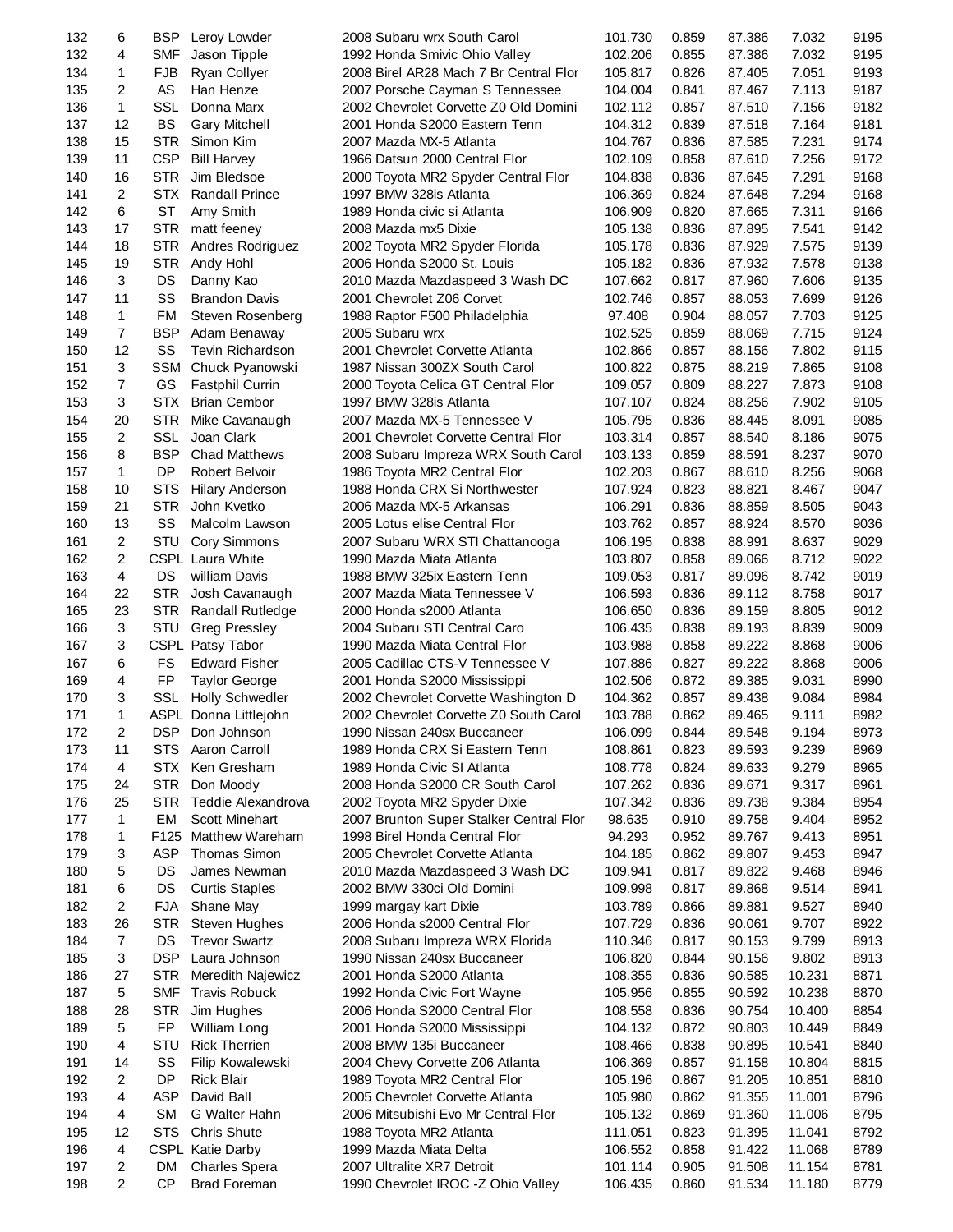| 132        | 6              | <b>BSP</b> | Leroy Lowder                             | 2008 Subaru wrx South Carol                                      | 101.730            | 0.859          | 87.386           | 7.032  | 9195         |
|------------|----------------|------------|------------------------------------------|------------------------------------------------------------------|--------------------|----------------|------------------|--------|--------------|
| 132        | 4              | <b>SMF</b> | Jason Tipple                             | 1992 Honda Smivic Ohio Valley                                    | 102.206            | 0.855          | 87.386           | 7.032  | 9195         |
| 134        | $\mathbf{1}$   | <b>FJB</b> | Ryan Collyer                             | 2008 Birel AR28 Mach 7 Br Central Flor                           | 105.817            | 0.826          | 87.405           | 7.051  | 9193         |
| 135        | 2              | AS         | Han Henze                                | 2007 Porsche Cayman S Tennessee                                  | 104.004            | 0.841          | 87.467           | 7.113  | 9187         |
| 136        | $\mathbf{1}$   | <b>SSL</b> | Donna Marx                               | 2002 Chevrolet Corvette Z0 Old Domini                            | 102.112            | 0.857          | 87.510           | 7.156  | 9182         |
| 137        | 12             | <b>BS</b>  | <b>Gary Mitchell</b>                     | 2001 Honda S2000 Eastern Tenn                                    | 104.312            | 0.839          | 87.518           | 7.164  | 9181         |
| 138        | 15             | <b>STR</b> | Simon Kim                                | 2007 Mazda MX-5 Atlanta                                          | 104.767            | 0.836          | 87.585           | 7.231  | 9174         |
| 139        | 11             | <b>CSP</b> | <b>Bill Harvey</b>                       | 1966 Datsun 2000 Central Flor                                    | 102.109            | 0.858          | 87.610           | 7.256  | 9172         |
| 140        | 16             | <b>STR</b> | Jim Bledsoe                              | 2000 Toyota MR2 Spyder Central Flor                              | 104.838            | 0.836          | 87.645           | 7.291  | 9168         |
| 141        | 2              | <b>STX</b> | <b>Randall Prince</b>                    | 1997 BMW 328is Atlanta                                           | 106.369            | 0.824          | 87.648           | 7.294  | 9168         |
| 142        | 6              | ST         | Amy Smith                                | 1989 Honda civic si Atlanta                                      | 106.909            | 0.820          | 87.665           | 7.311  | 9166         |
| 143        | 17             | <b>STR</b> | matt feeney                              | 2008 Mazda mx5 Dixie                                             | 105.138            | 0.836          | 87.895           | 7.541  | 9142         |
| 144        | 18             | STR.       | Andres Rodriguez                         | 2002 Toyota MR2 Spyder Florida                                   | 105.178            | 0.836          | 87.929           | 7.575  | 9139         |
| 145        | 19             | <b>STR</b> | Andy Hohl                                | 2006 Honda S2000 St. Louis                                       | 105.182            | 0.836          | 87.932           | 7.578  | 9138         |
| 146        | 3              | <b>DS</b>  | Danny Kao                                | 2010 Mazda Mazdaspeed 3 Wash DC                                  | 107.662            | 0.817          | 87.960           | 7.606  | 9135         |
| 147        | 11             | SS         | <b>Brandon Davis</b>                     | 2001 Chevrolet Z06 Corvet                                        | 102.746            | 0.857          | 88.053           | 7.699  | 9126         |
| 148        | $\mathbf{1}$   | FM         | Steven Rosenberg                         | 1988 Raptor F500 Philadelphia                                    | 97.408             | 0.904          | 88.057           | 7.703  | 9125         |
| 149        | $\overline{7}$ | <b>BSP</b> | Adam Benaway                             | 2005 Subaru wrx                                                  | 102.525            | 0.859          | 88.069           | 7.715  | 9124         |
| 150        | 12             | SS         | <b>Tevin Richardson</b>                  | 2001 Chevrolet Corvette Atlanta                                  | 102.866            | 0.857          | 88.156           | 7.802  | 9115         |
| 151        | 3              | SSM        | Chuck Pyanowski                          | 1987 Nissan 300ZX South Carol                                    | 100.822            | 0.875          | 88.219           | 7.865  | 9108         |
| 152        | $\overline{7}$ | GS         | <b>Fastphil Currin</b>                   | 2000 Toyota Celica GT Central Flor                               | 109.057            | 0.809          | 88.227           | 7.873  | 9108         |
| 153        | 3              | <b>STX</b> | <b>Brian Cembor</b>                      | 1997 BMW 328is Atlanta                                           | 107.107            | 0.824          | 88.256           | 7.902  | 9105         |
| 154        | 20             | <b>STR</b> | Mike Cavanaugh                           | 2007 Mazda MX-5 Tennessee V                                      | 105.795            | 0.836          | 88.445           | 8.091  | 9085         |
| 155        | 2              | SSL        | Joan Clark                               | 2001 Chevrolet Corvette Central Flor                             | 103.314            | 0.857          | 88.540           | 8.186  | 9075         |
| 156        | 8              | <b>BSP</b> | <b>Chad Matthews</b>                     | 2008 Subaru Impreza WRX South Carol                              | 103.133            | 0.859          | 88.591           | 8.237  | 9070         |
| 157        | $\mathbf 1$    | DP         | <b>Robert Belvoir</b>                    | 1986 Toyota MR2 Central Flor                                     | 102.203            | 0.867          | 88.610           | 8.256  | 9068         |
| 158        | 10             | <b>STS</b> | <b>Hilary Anderson</b>                   | 1988 Honda CRX Si Northwester                                    | 107.924            | 0.823          | 88.821           | 8.467  | 9047         |
| 159        | 21             | <b>STR</b> | John Kvetko                              | 2006 Mazda MX-5 Arkansas                                         | 106.291            | 0.836          | 88.859           | 8.505  | 9043         |
| 160        | 13             | SS         | Malcolm Lawson                           | 2005 Lotus elise Central Flor                                    | 103.762            | 0.857          | 88.924           | 8.570  | 9036         |
| 161        | $\overline{c}$ | STU        | <b>Cory Simmons</b>                      | 2007 Subaru WRX STI Chattanooga                                  | 106.195            | 0.838          | 88.991           | 8.637  | 9029         |
| 162        | 2              |            | <b>CSPL Laura White</b>                  | 1990 Mazda Miata Atlanta                                         | 103.807            | 0.858          | 89.066           | 8.712  | 9022         |
| 163        | $\overline{4}$ | DS         | william Davis                            | 1988 BMW 325ix Eastern Tenn                                      | 109.053            | 0.817          | 89.096           | 8.742  | 9019         |
| 164        | 22             | <b>STR</b> | Josh Cavanaugh                           | 2007 Mazda Miata Tennessee V                                     | 106.593            | 0.836          | 89.112           | 8.758  | 9017         |
|            | 23             | <b>STR</b> |                                          |                                                                  |                    | 0.836          | 89.159           | 8.805  | 9012         |
| 165        | 3              | STU        | <b>Randall Rutledge</b>                  | 2000 Honda s2000 Atlanta                                         | 106.650            |                |                  |        | 9009         |
| 166        | 3              |            | <b>Greg Pressley</b>                     | 2004 Subaru STI Central Caro                                     | 106.435<br>103.988 | 0.838          | 89.193           | 8.839  |              |
| 167<br>167 | 6              | FS         | CSPL Patsy Tabor<br><b>Edward Fisher</b> | 1990 Mazda Miata Central Flor<br>2005 Cadillac CTS-V Tennessee V |                    | 0.858<br>0.827 | 89.222<br>89.222 | 8.868  | 9006<br>9006 |
| 169        | 4              | FP         |                                          |                                                                  | 107.886            | 0.872          | 89.385           | 8.868  | 8990         |
| 170        | 3              | SSL        | <b>Taylor George</b>                     | 2001 Honda S2000 Mississippi                                     | 102.506            |                |                  | 9.031  |              |
| 171        | $\mathbf{1}$   |            | <b>Holly Schwedler</b>                   | 2002 Chevrolet Corvette Washington D                             | 104.362            | 0.857<br>0.862 | 89.438           | 9.084  | 8984<br>8982 |
|            |                |            | ASPL Donna Littlejohn                    | 2002 Chevrolet Corvette Z0 South Carol                           | 103.788            |                | 89.465           | 9.111  |              |
| 172        | 2              | <b>DSP</b> | Don Johnson                              | 1990 Nissan 240sx Buccaneer                                      | 106.099            | 0.844          | 89.548           | 9.194  | 8973         |
| 173        | 11             | <b>STS</b> | Aaron Carroll                            | 1989 Honda CRX Si Eastern Tenn                                   | 108.861            | 0.823          | 89.593           | 9.239  | 8969         |
| 174        | 4              | STX        | Ken Gresham                              | 1989 Honda Civic SI Atlanta                                      | 108.778            | 0.824          | 89.633           | 9.279  | 8965         |
| 175        | 24             | <b>STR</b> | Don Moody                                | 2008 Honda S2000 CR South Carol                                  | 107.262            | 0.836          | 89.671           | 9.317  | 8961         |
| 176        | 25             | <b>STR</b> | Teddie Alexandrova                       | 2002 Toyota MR2 Spyder Dixie                                     | 107.342            | 0.836          | 89.738           | 9.384  | 8954         |
| 177        | $\mathbf{1}$   | EM         | <b>Scott Minehart</b>                    | 2007 Brunton Super Stalker Central Flor                          | 98.635             | 0.910          | 89.758           | 9.404  | 8952         |
| 178        | 1              |            | F125 Matthew Wareham                     | 1998 Birel Honda Central Flor                                    | 94.293             | 0.952          | 89.767           | 9.413  | 8951         |
| 179        | 3              | ASP        | Thomas Simon                             | 2005 Chevrolet Corvette Atlanta                                  | 104.185            | 0.862          | 89.807           | 9.453  | 8947         |
| 180        | 5              | DS         | James Newman                             | 2010 Mazda Mazdaspeed 3 Wash DC                                  | 109.941            | 0.817          | 89.822           | 9.468  | 8946         |
| 181        | 6              | DS         | <b>Curtis Staples</b>                    | 2002 BMW 330ci Old Domini                                        | 109.998            | 0.817          | 89.868           | 9.514  | 8941         |
| 182        | 2              | <b>FJA</b> | Shane May                                | 1999 margay kart Dixie                                           | 103.789            | 0.866          | 89.881           | 9.527  | 8940         |
| 183        | 26             | <b>STR</b> | Steven Hughes                            | 2006 Honda s2000 Central Flor                                    | 107.729            | 0.836          | 90.061           | 9.707  | 8922         |
| 184        | $\overline{7}$ | DS         | <b>Trevor Swartz</b>                     | 2008 Subaru Impreza WRX Florida                                  | 110.346            | 0.817          | 90.153           | 9.799  | 8913         |
| 185        | 3              | <b>DSP</b> | Laura Johnson                            | 1990 Nissan 240sx Buccaneer                                      | 106.820            | 0.844          | 90.156           | 9.802  | 8913         |
| 186        | 27             | <b>STR</b> | Meredith Najewicz                        | 2001 Honda S2000 Atlanta                                         | 108.355            | 0.836          | 90.585           | 10.231 | 8871         |
| 187        | 5              | <b>SMF</b> | <b>Travis Robuck</b>                     | 1992 Honda Civic Fort Wayne                                      | 105.956            | 0.855          | 90.592           | 10.238 | 8870         |
| 188        | 28             | <b>STR</b> | Jim Hughes                               | 2006 Honda S2000 Central Flor                                    | 108.558            | 0.836          | 90.754           | 10.400 | 8854         |
| 189        | 5              | FP         | William Long                             | 2001 Honda S2000 Mississippi                                     | 104.132            | 0.872          | 90.803           | 10.449 | 8849         |
| 190        | 4              | <b>STU</b> | <b>Rick Therrien</b>                     | 2008 BMW 135i Buccaneer                                          | 108.466            | 0.838          | 90.895           | 10.541 | 8840         |
| 191        | 14             | SS         | Filip Kowalewski                         | 2004 Chevy Corvette Z06 Atlanta                                  | 106.369            | 0.857          | 91.158           | 10.804 | 8815         |
| 192        | 2              | DP         | <b>Rick Blair</b>                        | 1989 Toyota MR2 Central Flor                                     | 105.196            | 0.867          | 91.205           | 10.851 | 8810         |
| 193        | 4              | <b>ASP</b> | David Ball                               | 2005 Chevrolet Corvette Atlanta                                  | 105.980            | 0.862          | 91.355           | 11.001 | 8796         |
| 194        | 4              | <b>SM</b>  | G Walter Hahn                            | 2006 Mitsubishi Evo Mr Central Flor                              | 105.132            | 0.869          | 91.360           | 11.006 | 8795         |
| 195        | 12             | <b>STS</b> | <b>Chris Shute</b>                       | 1988 Toyota MR2 Atlanta                                          | 111.051            | 0.823          | 91.395           | 11.041 | 8792         |
| 196        | 4              |            | CSPL Katie Darby                         | 1999 Mazda Miata Delta                                           | 106.552            | 0.858          | 91.422           | 11.068 | 8789         |
| 197        | 2              | DM         | <b>Charles Spera</b>                     | 2007 Ultralite XR7 Detroit                                       | 101.114            | 0.905          | 91.508           | 11.154 | 8781         |
| 198        | 2              | <b>CP</b>  | <b>Brad Foreman</b>                      | 1990 Chevrolet IROC -Z Ohio Valley                               | 106.435            | 0.860          | 91.534           | 11.180 | 8779         |